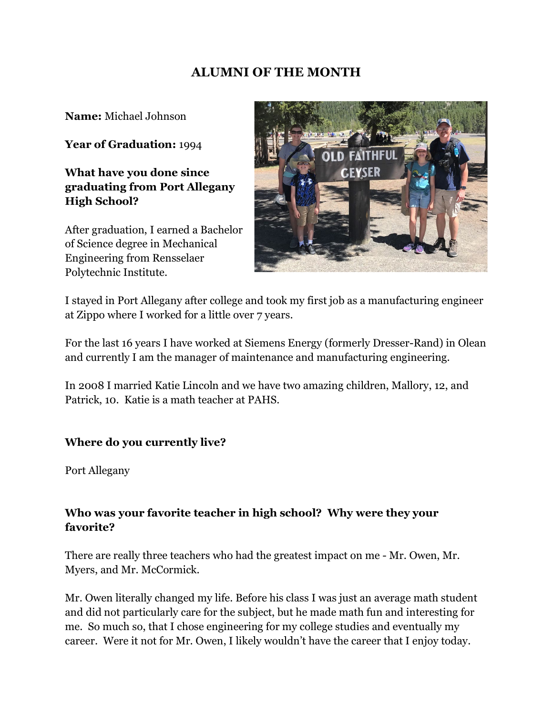## **ALUMNI OF THE MONTH**

**Name:** Michael Johnson

**Year of Graduation:** 1994

 **High School? What have you done since graduating from Port Allegany** 

Polytechnic Institute. After graduation, I earned a Bachelor of Science degree in Mechanical Engineering from Rensselaer



I stayed in Port Allegany after college and took my first job as a manufacturing engineer at Zippo where I worked for a little over 7 years.

For the last 16 years I have worked at Siemens Energy (formerly Dresser-Rand) in Olean and currently I am the manager of maintenance and manufacturing engineering.

In 2008 I married Katie Lincoln and we have two amazing children, Mallory, 12, and Patrick, 10. Katie is a math teacher at PAHS.

## **Where do you currently live?**

Port Allegany

## **Who was your favorite teacher in high school? Why were they your favorite?**

There are really three teachers who had the greatest impact on me - Mr. Owen, Mr. Myers, and Mr. McCormick.

 Mr. Owen literally changed my life. Before his class I was just an average math student and did not particularly care for the subject, but he made math fun and interesting for me. So much so, that I chose engineering for my college studies and eventually my career. Were it not for Mr. Owen, I likely wouldn't have the career that I enjoy today.